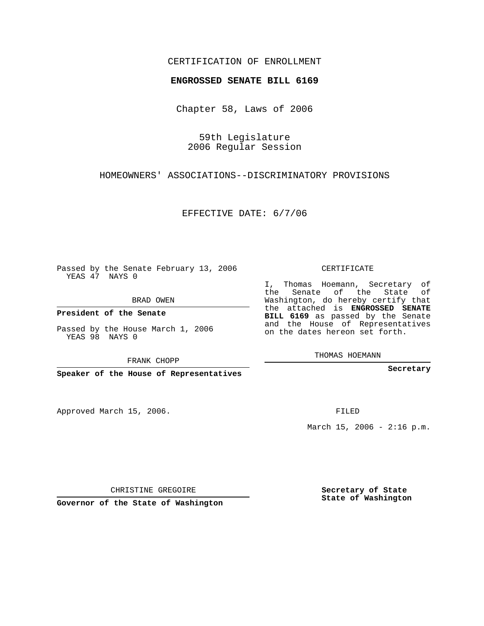## CERTIFICATION OF ENROLLMENT

## **ENGROSSED SENATE BILL 6169**

Chapter 58, Laws of 2006

59th Legislature 2006 Regular Session

HOMEOWNERS' ASSOCIATIONS--DISCRIMINATORY PROVISIONS

EFFECTIVE DATE: 6/7/06

Passed by the Senate February 13, 2006 YEAS 47 NAYS 0

BRAD OWEN

**President of the Senate**

Passed by the House March 1, 2006 YEAS 98 NAYS 0

FRANK CHOPP

**Speaker of the House of Representatives**

Approved March 15, 2006.

CERTIFICATE

I, Thomas Hoemann, Secretary of the Senate of the State of Washington, do hereby certify that the attached is **ENGROSSED SENATE BILL 6169** as passed by the Senate and the House of Representatives on the dates hereon set forth.

THOMAS HOEMANN

**Secretary**

FILED

March 15, 2006 -  $2:16$  p.m.

CHRISTINE GREGOIRE

**Governor of the State of Washington**

**Secretary of State State of Washington**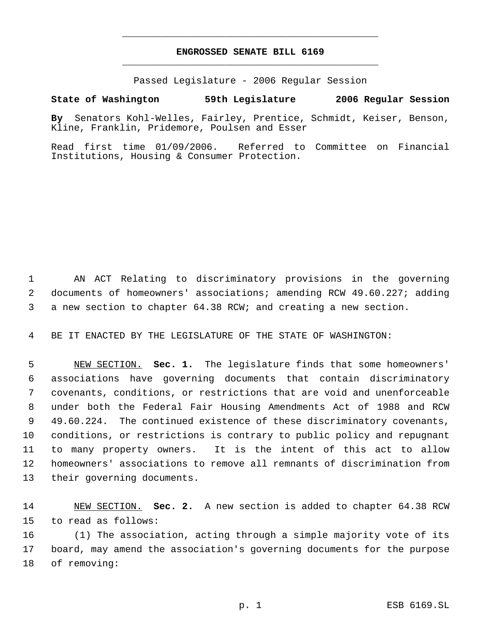## **ENGROSSED SENATE BILL 6169** \_\_\_\_\_\_\_\_\_\_\_\_\_\_\_\_\_\_\_\_\_\_\_\_\_\_\_\_\_\_\_\_\_\_\_\_\_\_\_\_\_\_\_\_\_

\_\_\_\_\_\_\_\_\_\_\_\_\_\_\_\_\_\_\_\_\_\_\_\_\_\_\_\_\_\_\_\_\_\_\_\_\_\_\_\_\_\_\_\_\_

Passed Legislature - 2006 Regular Session

## **State of Washington 59th Legislature 2006 Regular Session**

**By** Senators Kohl-Welles, Fairley, Prentice, Schmidt, Keiser, Benson, Kline, Franklin, Pridemore, Poulsen and Esser

Read first time 01/09/2006. Referred to Committee on Financial Institutions, Housing & Consumer Protection.

 AN ACT Relating to discriminatory provisions in the governing documents of homeowners' associations; amending RCW 49.60.227; adding a new section to chapter 64.38 RCW; and creating a new section.

BE IT ENACTED BY THE LEGISLATURE OF THE STATE OF WASHINGTON:

 NEW SECTION. **Sec. 1.** The legislature finds that some homeowners' associations have governing documents that contain discriminatory covenants, conditions, or restrictions that are void and unenforceable under both the Federal Fair Housing Amendments Act of 1988 and RCW 49.60.224. The continued existence of these discriminatory covenants, conditions, or restrictions is contrary to public policy and repugnant to many property owners. It is the intent of this act to allow homeowners' associations to remove all remnants of discrimination from their governing documents.

 NEW SECTION. **Sec. 2.** A new section is added to chapter 64.38 RCW to read as follows:

 (1) The association, acting through a simple majority vote of its board, may amend the association's governing documents for the purpose of removing: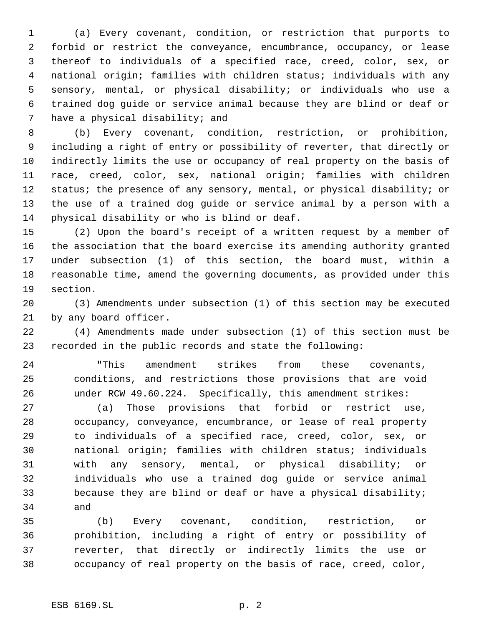(a) Every covenant, condition, or restriction that purports to forbid or restrict the conveyance, encumbrance, occupancy, or lease thereof to individuals of a specified race, creed, color, sex, or national origin; families with children status; individuals with any sensory, mental, or physical disability; or individuals who use a trained dog guide or service animal because they are blind or deaf or have a physical disability; and

 (b) Every covenant, condition, restriction, or prohibition, including a right of entry or possibility of reverter, that directly or indirectly limits the use or occupancy of real property on the basis of race, creed, color, sex, national origin; families with children 12 status; the presence of any sensory, mental, or physical disability; or the use of a trained dog guide or service animal by a person with a physical disability or who is blind or deaf.

 (2) Upon the board's receipt of a written request by a member of the association that the board exercise its amending authority granted under subsection (1) of this section, the board must, within a reasonable time, amend the governing documents, as provided under this section.

 (3) Amendments under subsection (1) of this section may be executed by any board officer.

 (4) Amendments made under subsection (1) of this section must be recorded in the public records and state the following:

 "This amendment strikes from these covenants, conditions, and restrictions those provisions that are void under RCW 49.60.224. Specifically, this amendment strikes:

 (a) Those provisions that forbid or restrict use, occupancy, conveyance, encumbrance, or lease of real property to individuals of a specified race, creed, color, sex, or national origin; families with children status; individuals with any sensory, mental, or physical disability; or individuals who use a trained dog guide or service animal because they are blind or deaf or have a physical disability; and

 (b) Every covenant, condition, restriction, or prohibition, including a right of entry or possibility of reverter, that directly or indirectly limits the use or occupancy of real property on the basis of race, creed, color,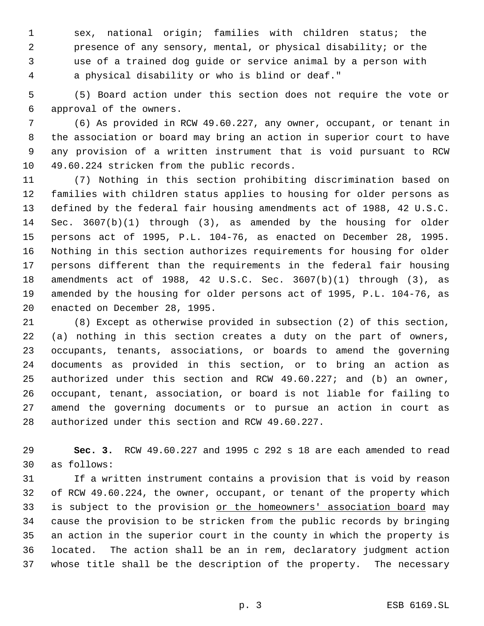sex, national origin; families with children status; the presence of any sensory, mental, or physical disability; or the use of a trained dog guide or service animal by a person with a physical disability or who is blind or deaf."

 (5) Board action under this section does not require the vote or approval of the owners.

 (6) As provided in RCW 49.60.227, any owner, occupant, or tenant in the association or board may bring an action in superior court to have any provision of a written instrument that is void pursuant to RCW 49.60.224 stricken from the public records.

 (7) Nothing in this section prohibiting discrimination based on families with children status applies to housing for older persons as defined by the federal fair housing amendments act of 1988, 42 U.S.C. Sec. 3607(b)(1) through (3), as amended by the housing for older persons act of 1995, P.L. 104-76, as enacted on December 28, 1995. Nothing in this section authorizes requirements for housing for older persons different than the requirements in the federal fair housing amendments act of 1988, 42 U.S.C. Sec. 3607(b)(1) through (3), as amended by the housing for older persons act of 1995, P.L. 104-76, as enacted on December 28, 1995.

 (8) Except as otherwise provided in subsection (2) of this section, (a) nothing in this section creates a duty on the part of owners, occupants, tenants, associations, or boards to amend the governing documents as provided in this section, or to bring an action as authorized under this section and RCW 49.60.227; and (b) an owner, occupant, tenant, association, or board is not liable for failing to amend the governing documents or to pursue an action in court as authorized under this section and RCW 49.60.227.

 **Sec. 3.** RCW 49.60.227 and 1995 c 292 s 18 are each amended to read as follows:

 If a written instrument contains a provision that is void by reason of RCW 49.60.224, the owner, occupant, or tenant of the property which 33 is subject to the provision or the homeowners' association board may cause the provision to be stricken from the public records by bringing an action in the superior court in the county in which the property is located. The action shall be an in rem, declaratory judgment action whose title shall be the description of the property. The necessary